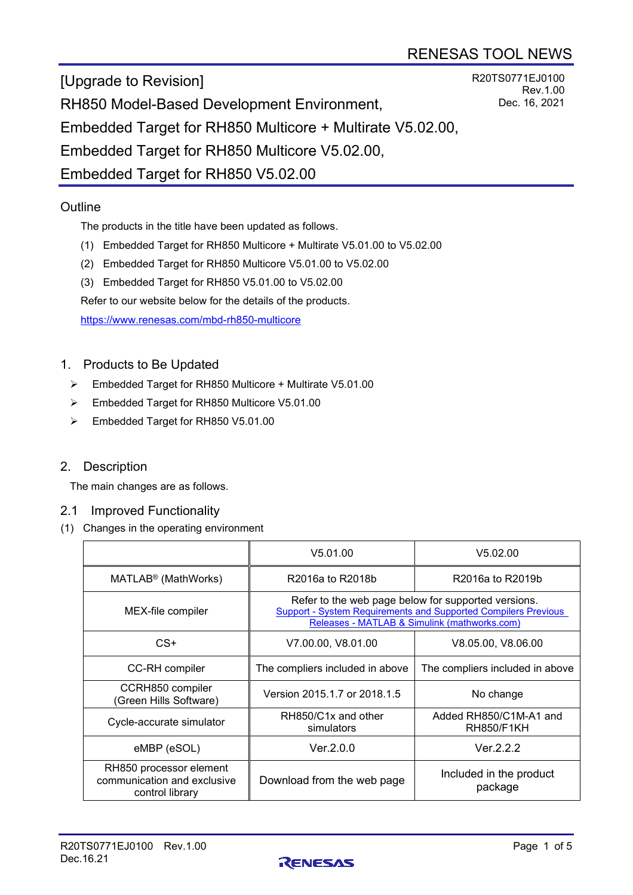R20TS0771EJ0100

Rev.1.00 Dec. 16, 2021

[Upgrade to Revision] RH850 Model-Based Development Environment, Embedded Target for RH850 Multicore + Multirate V5.02.00, Embedded Target for RH850 Multicore V5.02.00, Embedded Target for RH850 V5.02.00

# **Outline**

The products in the title have been updated as follows.

- (1) Embedded Target for RH850 Multicore + Multirate V5.01.00 to V5.02.00
- (2) Embedded Target for RH850 Multicore V5.01.00 to V5.02.00
- (3) Embedded Target for RH850 V5.01.00 to V5.02.00

Refer to our website below for the details of the products.

<https://www.renesas.com/mbd-rh850-multicore>

# 1. Products to Be Updated

- Embedded Target for RH850 Multicore + Multirate V5.01.00
- Embedded Target for RH850 Multicore V5.01.00
- Embedded Target for RH850 V5.01.00

## 2. Description

The main changes are as follows.

#### 2.1 Improved Functionality

(1) Changes in the operating environment

|                                                                           | V5.01.00                                                                                                                                                                     | V5.02.00                                    |  |
|---------------------------------------------------------------------------|------------------------------------------------------------------------------------------------------------------------------------------------------------------------------|---------------------------------------------|--|
| MATLAB <sup>®</sup> (MathWorks)                                           | R2016a to R2018b                                                                                                                                                             | R2016a to R2019b                            |  |
| MEX-file compiler                                                         | Refer to the web page below for supported versions.<br><b>Support - System Requirements and Supported Compilers Previous</b><br>Releases - MATLAB & Simulink (mathworks.com) |                                             |  |
| $CS+$                                                                     | V7.00.00, V8.01.00                                                                                                                                                           | V8.05.00, V8.06.00                          |  |
| <b>CC-RH</b> compiler                                                     | The compliers included in above                                                                                                                                              | The compliers included in above             |  |
| CCRH850 compiler<br>Green Hills Software)                                 | Version 2015.1.7 or 2018.1.5                                                                                                                                                 | No change                                   |  |
| Cycle-accurate simulator                                                  | RH850/C1x and other<br>simulators                                                                                                                                            | Added RH850/C1M-A1 and<br><b>RH850/F1KH</b> |  |
| eMBP (eSOL)                                                               | Ver.2.0.0                                                                                                                                                                    | Ver.2.2.2                                   |  |
| RH850 processor element<br>communication and exclusive<br>control library | Download from the web page                                                                                                                                                   | Included in the product<br>package          |  |

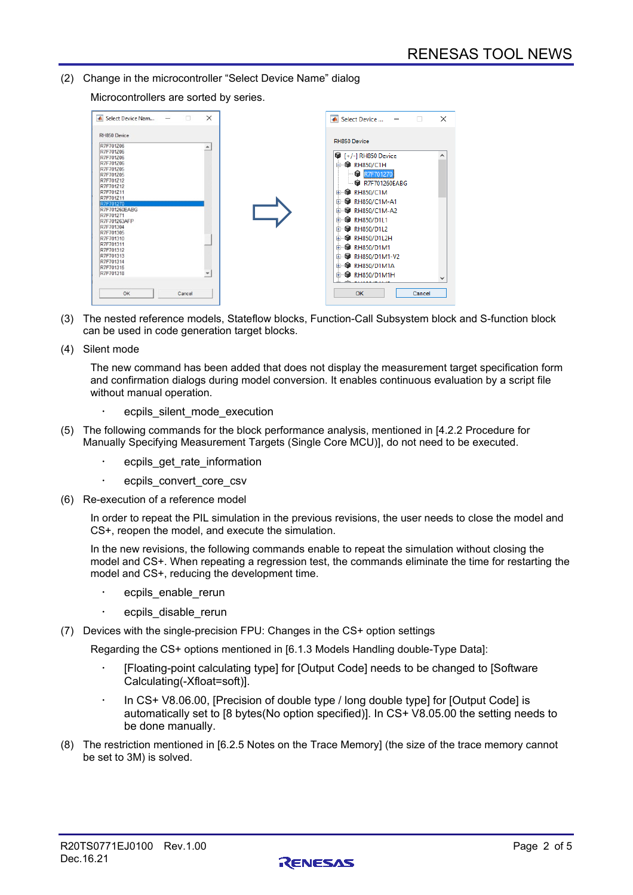(2) Change in the microcontroller "Select Device Name" dialog

Microcontrollers are sorted by series.

| RH850 Device<br>R7F701Z06<br>$\blacktriangle$<br>R7F701Z06<br><sup>1</sup> [+/-] RH850 Device<br>R7F701706<br>R7F701Z06<br><b>白 ● RH850/C1H</b><br>R7F701Z05<br><b>C</b> R7F701270<br>R7F701Z05<br>R7F701Z12<br><b>@ R7F701260EABG</b><br>R7F701Z12<br><b>@ RH850/C1M</b><br>R7F701Z11<br>由<br>R7F701Z11<br><b>@</b> RH850/C1M-A1<br>由<br>R7F701270<br>R7F701260EABG<br><b>@</b> RH850/C1M-A2<br>由<br>R7F701271<br><b>@</b> RH850/D1L1<br>审<br>R7F701263AFP<br>R7F701304<br><b>&amp;</b> RH850/D1L2<br>由<br>R7F701305<br><b>@</b> RH850/D1L2H<br>由<br>R7F701310<br>R7F701311<br><b>@</b> RH850/D1M1<br>由<br>R7F701312<br>R7F701313<br><b>&amp;</b> RH850/D1M1-V2<br>由<br>R7F701314<br><b>@</b> RH850/D1M1A<br>审<br>R7F701315<br>R7F701318<br><b>RH850/D1M1H</b><br>审 | $\times$<br>Select Device Nam | ×<br>▲ Select Device |
|----------------------------------------------------------------------------------------------------------------------------------------------------------------------------------------------------------------------------------------------------------------------------------------------------------------------------------------------------------------------------------------------------------------------------------------------------------------------------------------------------------------------------------------------------------------------------------------------------------------------------------------------------------------------------------------------------------------------------------------------------------------------|-------------------------------|----------------------|
|                                                                                                                                                                                                                                                                                                                                                                                                                                                                                                                                                                                                                                                                                                                                                                      | RH850 Device                  | v                    |

- (3) The nested reference models, Stateflow blocks, Function-Call Subsystem block and S-function block can be used in code generation target blocks.
- (4) Silent mode

The new command has been added that does not display the measurement target specification form and confirmation dialogs during model conversion. It enables continuous evaluation by a script file without manual operation.

- ecpils\_silent\_mode\_execution
- (5) The following commands for the block performance analysis, mentioned in [4.2.2 Procedure for Manually Specifying Measurement Targets (Single Core MCU)], do not need to be executed.
	- ecpils\_get\_rate\_information
	- ecpils\_convert\_core\_csv
- (6) Re-execution of a reference model

In order to repeat the PIL simulation in the previous revisions, the user needs to close the model and CS+, reopen the model, and execute the simulation.

In the new revisions, the following commands enable to repeat the simulation without closing the model and CS+. When repeating a regression test, the commands eliminate the time for restarting the model and CS+, reducing the development time.

- ecpils\_enable\_rerun
- ecpils\_disable\_rerun
- (7) Devices with the single-precision FPU: Changes in the CS+ option settings

Regarding the CS+ options mentioned in [6.1.3 Models Handling double-Type Data]:

- [Floating-point calculating type] for [Output Code] needs to be changed to [Software Calculating(-Xfloat=soft)].
- In CS+ V8.06.00, [Precision of double type / long double type] for [Output Code] is automatically set to [8 bytes(No option specified)]. In CS+ V8.05.00 the setting needs to be done manually.
- (8) The restriction mentioned in [6.2.5 Notes on the Trace Memory] (the size of the trace memory cannot be set to 3M) is solved.

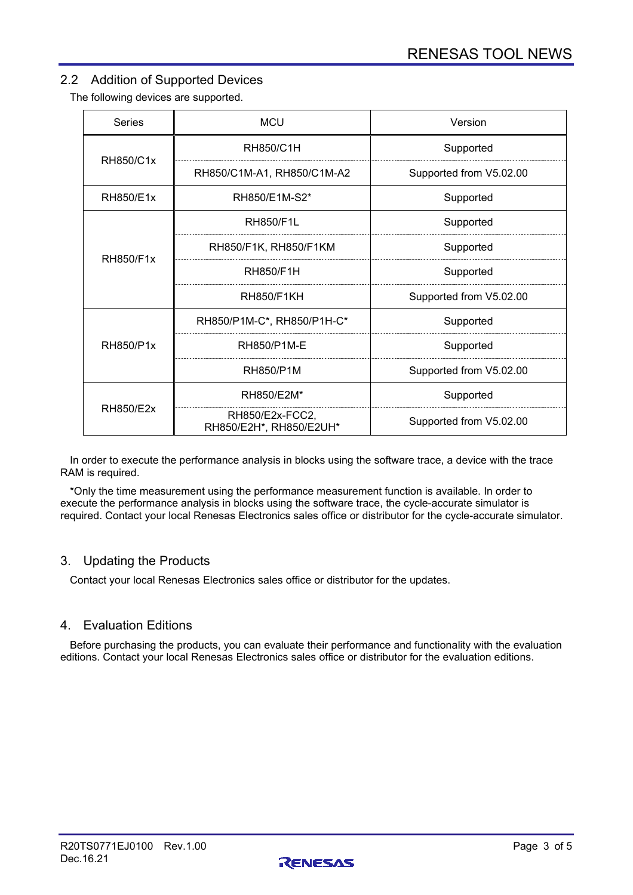# 2.2 Addition of Supported Devices

The following devices are supported.

| <b>Series</b> | <b>MCU</b>                                 | Version                 |  |
|---------------|--------------------------------------------|-------------------------|--|
| RH850/C1x     | RH850/C1H                                  | Supported               |  |
|               | RH850/C1M-A1, RH850/C1M-A2                 | Supported from V5.02.00 |  |
| RH850/E1x     | RH850/E1M-S2*                              | Supported               |  |
| RH850/F1x     | <b>RH850/F1L</b>                           | Supported               |  |
|               | RH850/F1K, RH850/F1KM                      | Supported               |  |
|               | RH850/F1H                                  | Supported               |  |
|               | <b>RH850/F1KH</b>                          | Supported from V5.02.00 |  |
| RH850/P1x     | RH850/P1M-C*, RH850/P1H-C*                 | Supported               |  |
|               | RH850/P1M-E                                | Supported               |  |
|               | RH850/P1M                                  | Supported from V5.02.00 |  |
| RH850/E2x     | RH850/E2M*                                 | Supported               |  |
|               | RH850/E2x-FCC2,<br>RH850/E2H*, RH850/E2UH* | Supported from V5.02.00 |  |

In order to execute the performance analysis in blocks using the software trace, a device with the trace RAM is required.

\*Only the time measurement using the performance measurement function is available. In order to execute the performance analysis in blocks using the software trace, the cycle-accurate simulator is required. Contact your local Renesas Electronics sales office or distributor for the cycle-accurate simulator.

#### 3. Updating the Products

Contact your local Renesas Electronics sales office or distributor for the updates.

#### 4. Evaluation Editions

Before purchasing the products, you can evaluate their performance and functionality with the evaluation editions. Contact your local Renesas Electronics sales office or distributor for the evaluation editions.

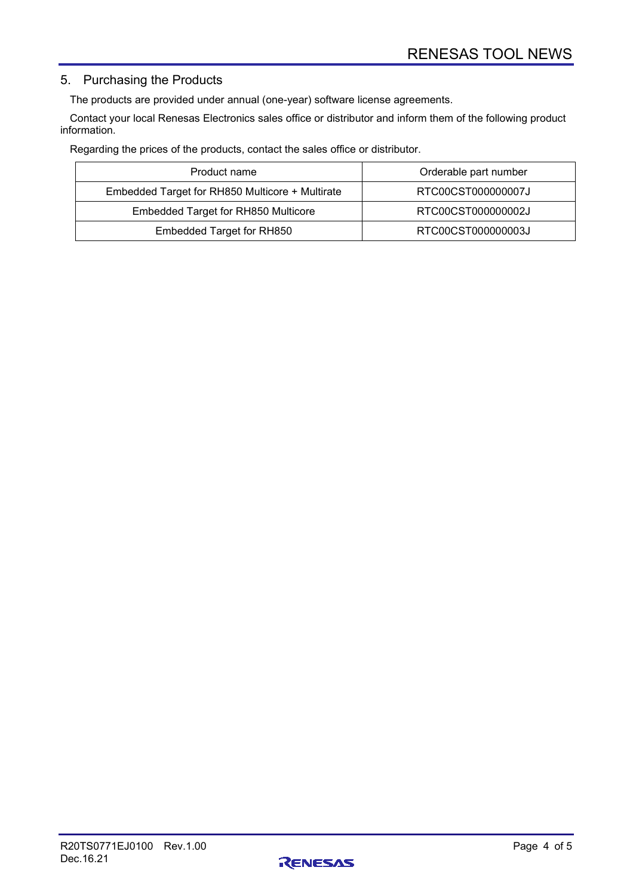# 5. Purchasing the Products

The products are provided under annual (one-year) software license agreements.

Contact your local Renesas Electronics sales office or distributor and inform them of the following product information.

Regarding the prices of the products, contact the sales office or distributor.

| Product name                                    | Orderable part number |
|-------------------------------------------------|-----------------------|
| Embedded Target for RH850 Multicore + Multirate | RTC00CST000000007J    |
| <b>Embedded Target for RH850 Multicore</b>      | RTC00CST000000002J    |
| Embedded Target for RH850                       | RTC00CST000000003J    |